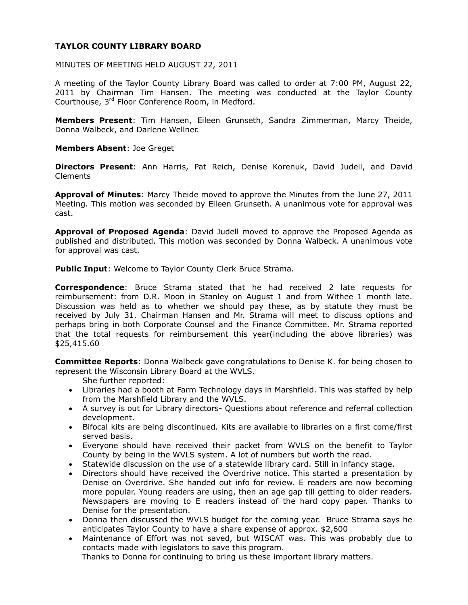# **TAYLOR COUNTY LIBRARY BOARD**

MINUTES OF MEETING HELD AUGUST 22, 2011

A meeting of the Taylor County Library Board was called to order at 7:00 PM, August 22, 2011 by Chairman Tim Hansen. The meeting was conducted at the Taylor County Courthouse, 3rd Floor Conference Room, in Medford.

**Members Present**: Tim Hansen, Eileen Grunseth, Sandra Zimmerman, Marcy Theide, Donna Walbeck, and Darlene Wellner.

**Members Absent**: Joe Greget

**Directors Present**: Ann Harris, Pat Reich, Denise Korenuk, David Judell, and David Clements

**Approval of Minutes**: Marcy Theide moved to approve the Minutes from the June 27, 2011 Meeting. This motion was seconded by Eileen Grunseth. A unanimous vote for approval was cast.

**Approval of Proposed Agenda**: David Judell moved to approve the Proposed Agenda as published and distributed. This motion was seconded by Donna Walbeck. A unanimous vote for approval was cast.

**Public Input**: Welcome to Taylor County Clerk Bruce Strama.

**Correspondence**: Bruce Strama stated that he had received 2 late requests for reimbursement: from D.R. Moon in Stanley on August 1 and from Withee 1 month late. Discussion was held as to whether we should pay these, as by statute they must be received by July 31. Chairman Hansen and Mr. Strama will meet to discuss options and perhaps bring in both Corporate Counsel and the Finance Committee. Mr. Strama reported that the total requests for reimbursement this year(including the above libraries) was \$25,415.60

**Committee Reports**: Donna Walbeck gave congratulations to Denise K. for being chosen to represent the Wisconsin Library Board at the WVLS.

She further reported:

- Libraries had a booth at Farm Technology days in Marshfield. This was staffed by help from the Marshfield Library and the WVLS.
- A survey is out for Library directors- Questions about reference and referral collection development.
- Bifocal kits are being discontinued. Kits are available to libraries on a first come/first served basis.
- Everyone should have received their packet from WVLS on the benefit to Taylor County by being in the WVLS system. A lot of numbers but worth the read.
- Statewide discussion on the use of a statewide library card. Still in infancy stage.
- Directors should have received the Overdrive notice. This started a presentation by Denise on Overdrive. She handed out info for review. E readers are now becoming more popular. Young readers are using, then an age gap till getting to older readers. Newspapers are moving to E readers instead of the hard copy paper. Thanks to Denise for the presentation.
- Donna then discussed the WVLS budget for the coming year. Bruce Strama says he anticipates Taylor County to have a share expense of approx. \$2,600
- Maintenance of Effort was not saved, but WISCAT was. This was probably due to contacts made with legislators to save this program.

Thanks to Donna for continuing to bring us these important library matters.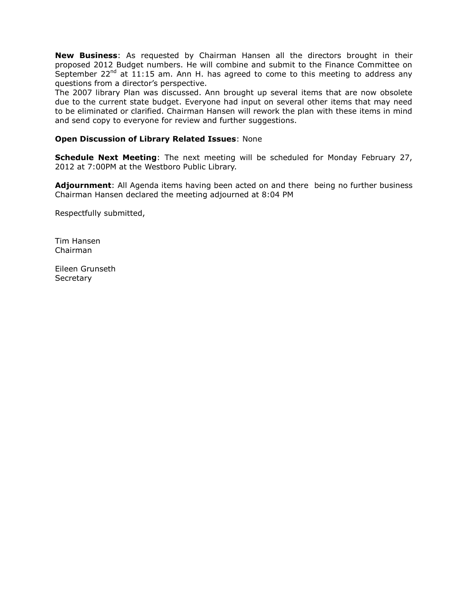**New Business**: As requested by Chairman Hansen all the directors brought in their proposed 2012 Budget numbers. He will combine and submit to the Finance Committee on September  $22^{nd}$  at  $11:15$  am. Ann H. has agreed to come to this meeting to address any questions from a director's perspective.

The 2007 library Plan was discussed. Ann brought up several items that are now obsolete due to the current state budget. Everyone had input on several other items that may need to be eliminated or clarified. Chairman Hansen will rework the plan with these items in mind and send copy to everyone for review and further suggestions.

### **Open Discussion of Library Related Issues**: None

**Schedule Next Meeting**: The next meeting will be scheduled for Monday February 27, 2012 at 7:00PM at the Westboro Public Library.

**Adjournment**: All Agenda items having been acted on and there being no further business Chairman Hansen declared the meeting adjourned at 8:04 PM

Respectfully submitted,

Tim Hansen Chairman

Eileen Grunseth **Secretary**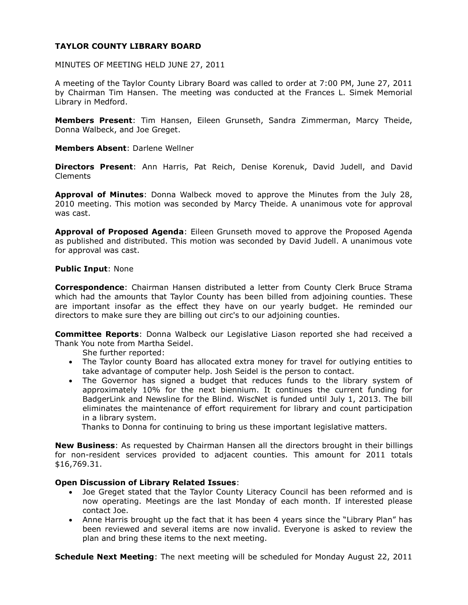# **TAYLOR COUNTY LIBRARY BOARD**

MINUTES OF MEETING HELD JUNE 27, 2011

A meeting of the Taylor County Library Board was called to order at 7:00 PM, June 27, 2011 by Chairman Tim Hansen. The meeting was conducted at the Frances L. Simek Memorial Library in Medford.

**Members Present**: Tim Hansen, Eileen Grunseth, Sandra Zimmerman, Marcy Theide, Donna Walbeck, and Joe Greget.

**Members Absent**: Darlene Wellner

**Directors Present**: Ann Harris, Pat Reich, Denise Korenuk, David Judell, and David Clements

**Approval of Minutes**: Donna Walbeck moved to approve the Minutes from the July 28, 2010 meeting. This motion was seconded by Marcy Theide. A unanimous vote for approval was cast.

**Approval of Proposed Agenda**: Eileen Grunseth moved to approve the Proposed Agenda as published and distributed. This motion was seconded by David Judell. A unanimous vote for approval was cast.

#### **Public Input**: None

**Correspondence**: Chairman Hansen distributed a letter from County Clerk Bruce Strama which had the amounts that Taylor County has been billed from adjoining counties. These are important insofar as the effect they have on our yearly budget. He reminded our directors to make sure they are billing out circ's to our adjoining counties.

**Committee Reports**: Donna Walbeck our Legislative Liason reported she had received a Thank You note from Martha Seidel.

She further reported:

- The Taylor county Board has allocated extra money for travel for outlying entities to take advantage of computer help. Josh Seidel is the person to contact.
- The Governor has signed a budget that reduces funds to the library system of approximately 10% for the next biennium. It continues the current funding for BadgerLink and Newsline for the Blind. WiscNet is funded until July 1, 2013. The bill eliminates the maintenance of effort requirement for library and count participation in a library system.

Thanks to Donna for continuing to bring us these important legislative matters.

**New Business**: As requested by Chairman Hansen all the directors brought in their billings for non-resident services provided to adjacent counties. This amount for 2011 totals \$16,769.31.

#### **Open Discussion of Library Related Issues**:

- Joe Greget stated that the Taylor County Literacy Council has been reformed and is now operating. Meetings are the last Monday of each month. If interested please contact Joe.
- Anne Harris brought up the fact that it has been 4 years since the "Library Plan" has been reviewed and several items are now invalid. Everyone is asked to review the plan and bring these items to the next meeting.

**Schedule Next Meeting**: The next meeting will be scheduled for Monday August 22, 2011